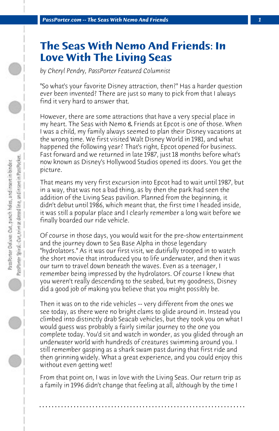## **The Seas With Nemo And Friends: In Love With The Living Seas**

*by Cheryl Pendry, PassPorter Featured Columnist*

"So what's your favorite Disney attraction, then?" Has a harder question ever been invented? There are just so many to pick from that I always find it very hard to answer that.

However, there are some attractions that have a very special place in my heart. The Seas with Nemo & Friends at Epcot is one of those. When I was a child, my family always seemed to plan their Disney vacations at the wrong time. We first visited Walt Disney World in 1981, and what happened the following year? That's right, Epcot opened for business. Fast forward and we returned in late 1987, just 18 months before what's now known as Disney's Hollywood Studios opened its doors. You get the picture.

That means my very first excursion into Epcot had to wait until 1987, but in a way, that was not a bad thing, as by then the park had seen the addition of the Living Seas pavilion. Planned from the beginning, it didn't debut until 1986, which meant that, the first time I headed inside, it was still a popular place and I clearly remember a long wait before we finally boarded our ride vehicle.

Of course in those days, you would wait for the pre-show entertainment and the journey down to Sea Base Alpha in those legendary "hydrolators." As it was our first visit, we dutifully trooped in to watch the short movie that introduced you to life underwater, and then it was our turn to travel down beneath the waves. Even as a teenager, I remember being impressed by the hydrolators. Of course I knew that you weren't really descending to the seabed, but my goodness, Disney did a good job of making you believe that you might possibly be.

Then it was on to the ride vehicles -- very different from the ones we see today, as there were no bright clams to glide around in. Instead you climbed into distinctly drab Seacab vehicles, but they took you on what I would guess was probably a fairly similar journey to the one you complete today. You'd sit and watch in wonder, as you glided through an underwater world with hundreds of creatures swimming around you. I still remember gasping as a shark swam past during that first ride and then grinning widely. What a great experience, and you could enjoy this without even getting wet!

From that point on, I was in love with the Living Seas. Our return trip as a family in 1996 didn't change that feeling at all, although by the time I

**. . . . . . . . . . . . . . . . . . . . . . . . . . . . . . . . . . . . . . . . . . . . . . . . . . . . . . . . . . . . . . . . . .**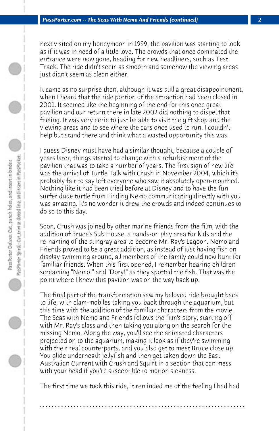next visited on my honeymoon in 1999, the pavilion was starting to look as if it was in need of a little love. The crowds that once dominated the entrance were now gone, heading for new headliners, such as Test Track. The ride didn't seem as smooth and somehow the viewing areas just didn't seem as clean either.

It came as no surprise then, although it was still a great disappointment, when I heard that the ride portion of the attraction had been closed in 2001. It seemed like the beginning of the end for this once great pavilion and our return there in late 2002 did nothing to dispel that feeling. It was very eerie to just be able to visit the gift shop and the viewing areas and to see where the cars once used to run. I couldn't help but stand there and think what a wasted opportunity this was.

I guess Disney must have had a similar thought, because a couple of years later, things started to change with a refurbishment of the pavilion that was to take a number of years. The first sign of new life was the arrival of Turtle Talk with Crush in November 2004, which it's probably fair to say left everyone who saw it absolutely open-mouthed. Nothing like it had been tried before at Disney and to have the fun surfer dude turtle from Finding Nemo communicating directly with you was amazing. It's no wonder it drew the crowds and indeed continues to do so to this day.

Soon, Crush was joined by other marine friends from the film, with the addition of Bruce's Sub House, a hands-on play area for kids and the re-naming of the stingray area to become Mr. Ray's Lagoon. Nemo and Friends proved to be a great addition, as instead of just having fish on display swimming around, all members of the family could now hunt for familiar friends. When this first opened, I remember hearing children screaming "Nemo!" and "Dory!" as they spotted the fish. That was the point where I knew this pavilion was on the way back up.

The final part of the transformation saw my beloved ride brought back to life, with clam-mobiles taking you back through the aquarium, but this time with the addition of the familiar characters from the movie. The Seas with Nemo and Friends follows the film's story, starting off with Mr. Ray's class and then taking you along on the search for the missing Nemo. Along the way, you'll see the animated characters projected on to the aquarium, making it look as if they're swimming with their real counterparts, and you also get to meet Bruce close up. You glide underneath jellyfish and then get taken down the East Australian Current with Crush and Squirt in a section that can mess with your head if you're susceptible to motion sickness.

The first time we took this ride, it reminded me of the feeling I had had

**. . . . . . . . . . . . . . . . . . . . . . . . . . . . . . . . . . . . . . . . . . . . . . . . . . . . . . . . . . . . . . . . . .**